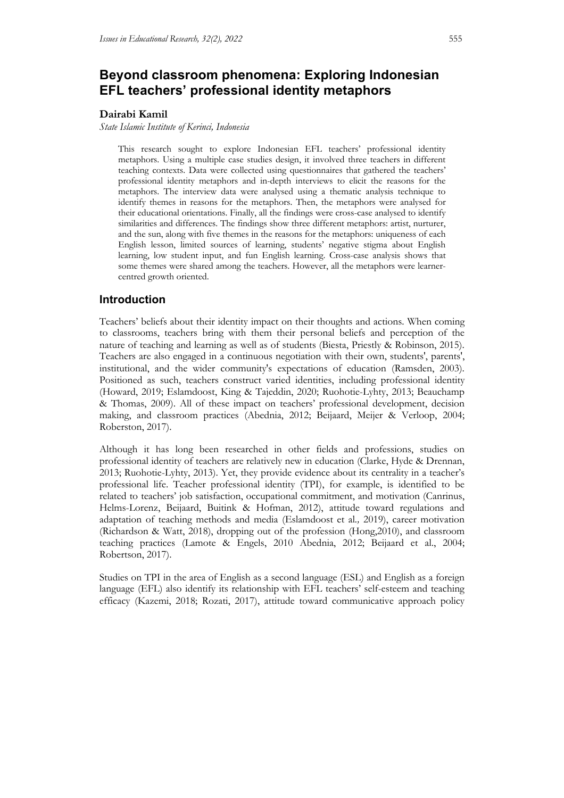# **Beyond classroom phenomena: Exploring Indonesian EFL teachers' professional identity metaphors**

### **Dairabi Kamil**

*State Islamic Institute of Kerinci, Indonesia*

This research sought to explore Indonesian EFL teachers' professional identity metaphors. Using a multiple case studies design, it involved three teachers in different teaching contexts. Data were collected using questionnaires that gathered the teachers' professional identity metaphors and in-depth interviews to elicit the reasons for the metaphors. The interview data were analysed using a thematic analysis technique to identify themes in reasons for the metaphors. Then, the metaphors were analysed for their educational orientations. Finally, all the findings were cross-case analysed to identify similarities and differences. The findings show three different metaphors: artist, nurturer, and the sun, along with five themes in the reasons for the metaphors: uniqueness of each English lesson, limited sources of learning, students' negative stigma about English learning, low student input, and fun English learning. Cross-case analysis shows that some themes were shared among the teachers. However, all the metaphors were learnercentred growth oriented.

### **Introduction**

Teachers' beliefs about their identity impact on their thoughts and actions. When coming to classrooms, teachers bring with them their personal beliefs and perception of the nature of teaching and learning as well as of students (Biesta, Priestly & Robinson, 2015). Teachers are also engaged in a continuous negotiation with their own, students', parents', institutional, and the wider community's expectations of education (Ramsden, 2003). Positioned as such, teachers construct varied identities, including professional identity (Howard, 2019; Eslamdoost, King & Tajeddin, 2020; Ruohotie-Lyhty, 2013; Beauchamp & Thomas, 2009). All of these impact on teachers' professional development, decision making, and classroom practices (Abednia, 2012; Beijaard, Meijer & Verloop, 2004; Roberston, 2017).

Although it has long been researched in other fields and professions, studies on professional identity of teachers are relatively new in education (Clarke, Hyde & Drennan, 2013; Ruohotie-Lyhty, 2013). Yet, they provide evidence about its centrality in a teacher's professional life. Teacher professional identity (TPI), for example, is identified to be related to teachers' job satisfaction, occupational commitment, and motivation (Canrinus, Helms-Lorenz, Beijaard, Buitink & Hofman, 2012), attitude toward regulations and adaptation of teaching methods and media (Eslamdoost et al*.,* 2019), career motivation (Richardson & Watt, 2018), dropping out of the profession (Hong,2010), and classroom teaching practices (Lamote & Engels, 2010 Abednia, 2012; Beijaard et al., 2004; Robertson, 2017).

Studies on TPI in the area of English as a second language (ESL) and English as a foreign language (EFL) also identify its relationship with EFL teachers' self-esteem and teaching efficacy (Kazemi, 2018; Rozati, 2017), attitude toward communicative approach policy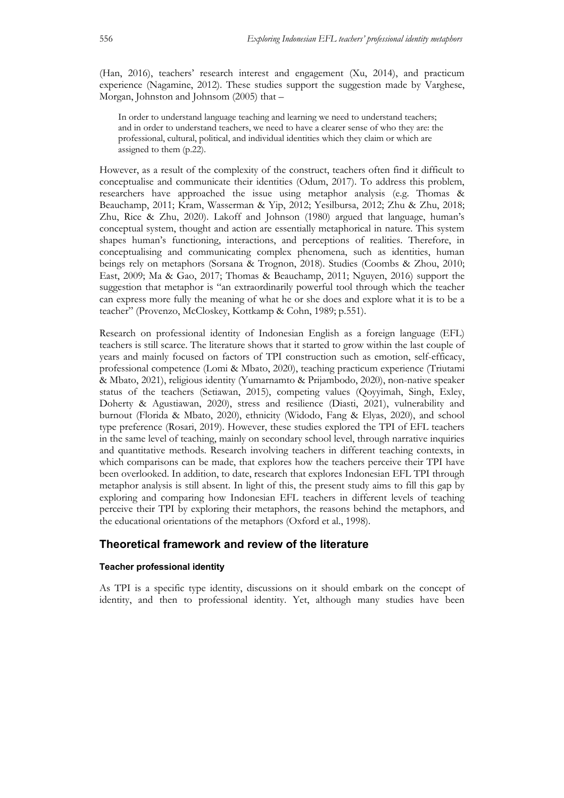(Han, 2016), teachers' research interest and engagement (Xu, 2014), and practicum experience (Nagamine, 2012). These studies support the suggestion made by Varghese, Morgan, Johnston and Johnsom (2005) that –

In order to understand language teaching and learning we need to understand teachers; and in order to understand teachers, we need to have a clearer sense of who they are: the professional, cultural, political, and individual identities which they claim or which are assigned to them (p.22).

However, as a result of the complexity of the construct, teachers often find it difficult to conceptualise and communicate their identities (Odum, 2017). To address this problem, researchers have approached the issue using metaphor analysis (e.g. Thomas & Beauchamp, 2011; Kram, Wasserman & Yip, 2012; Yesilbursa, 2012; Zhu & Zhu, 2018; Zhu, Rice & Zhu, 2020). Lakoff and Johnson (1980) argued that language, human's conceptual system, thought and action are essentially metaphorical in nature. This system shapes human's functioning, interactions, and perceptions of realities. Therefore, in conceptualising and communicating complex phenomena, such as identities, human beings rely on metaphors (Sorsana & Trognon, 2018). Studies (Coombs & Zhou, 2010; East, 2009; Ma & Gao, 2017; Thomas & Beauchamp, 2011; Nguyen, 2016) support the suggestion that metaphor is "an extraordinarily powerful tool through which the teacher can express more fully the meaning of what he or she does and explore what it is to be a teacher" (Provenzo, McCloskey, Kottkamp & Cohn, 1989; p.551).

Research on professional identity of Indonesian English as a foreign language (EFL) teachers is still scarce. The literature shows that it started to grow within the last couple of years and mainly focused on factors of TPI construction such as emotion, self-efficacy, professional competence (Lomi & Mbato, 2020), teaching practicum experience (Triutami & Mbato, 2021), religious identity (Yumarnamto & Prijambodo, 2020), non-native speaker status of the teachers (Setiawan, 2015), competing values (Qoyyimah, Singh, Exley, Doherty & Agustiawan, 2020), stress and resilience (Diasti, 2021), vulnerability and burnout (Florida & Mbato, 2020), ethnicity (Widodo, Fang & Elyas, 2020), and school type preference (Rosari, 2019). However, these studies explored the TPI of EFL teachers in the same level of teaching, mainly on secondary school level, through narrative inquiries and quantitative methods. Research involving teachers in different teaching contexts, in which comparisons can be made, that explores how the teachers perceive their TPI have been overlooked. In addition, to date, research that explores Indonesian EFL TPI through metaphor analysis is still absent. In light of this, the present study aims to fill this gap by exploring and comparing how Indonesian EFL teachers in different levels of teaching perceive their TPI by exploring their metaphors, the reasons behind the metaphors, and the educational orientations of the metaphors (Oxford et al., 1998).

## **Theoretical framework and review of the literature**

#### **Teacher professional identity**

As TPI is a specific type identity, discussions on it should embark on the concept of identity, and then to professional identity. Yet, although many studies have been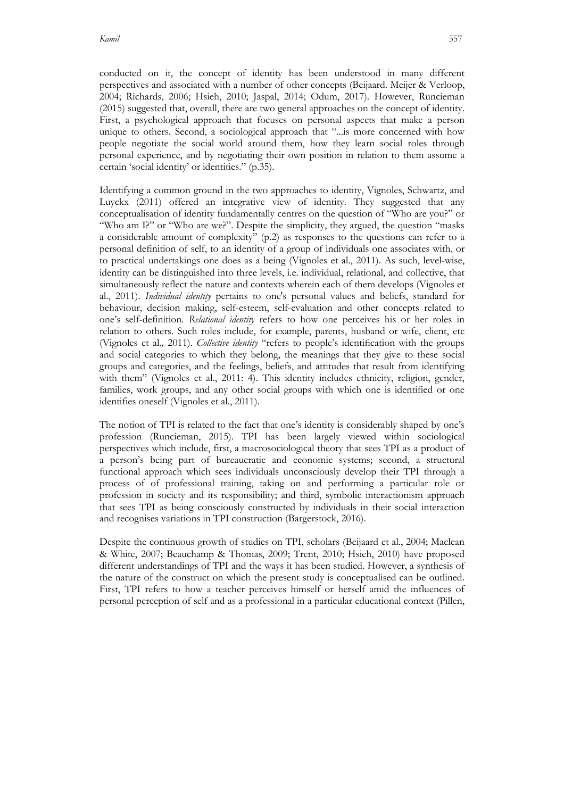conducted on it, the concept of identity has been understood in many different perspectives and associated with a number of other concepts (Beijaard. Meijer & Verloop, 2004; Richards, 2006; Hsieh, 2010; Jaspal, 2014; Odum, 2017). However, Runcieman (2015) suggested that, overall, there are two general approaches on the concept of identity. First, a psychological approach that focuses on personal aspects that make a person unique to others. Second, a sociological approach that "...is more concerned with how people negotiate the social world around them, how they learn social roles through personal experience, and by negotiating their own position in relation to them assume a certain 'social identity' or identities." (p.35).

Identifying a common ground in the two approaches to identity, Vignoles, Schwartz, and Luyckx (2011) offered an integrative view of identity. They suggested that any conceptualisation of identity fundamentally centres on the question of "Who are you?" or "Who am I?" or "Who are we?". Despite the simplicity, they argued, the question "masks a considerable amount of complexity" (p.2) as responses to the questions can refer to a personal definition of self, to an identity of a group of individuals one associates with, or to practical undertakings one does as a being (Vignoles et al., 2011). As such, level-wise, identity can be distinguished into three levels, i.e. individual, relational, and collective, that simultaneously reflect the nature and contexts wherein each of them develops (Vignoles et al., 2011). *Individual identity* pertains to one's personal values and beliefs, standard for behaviour, decision making, self-esteem, self-evaluation and other concepts related to one's self-definition. *Relational identity* refers to how one perceives his or her roles in relation to others. Such roles include, for example, parents, husband or wife, client, etc (Vignoles et al.*,* 2011). *Collective identity* "refers to people's identification with the groups and social categories to which they belong, the meanings that they give to these social groups and categories, and the feelings, beliefs, and attitudes that result from identifying with them" (Vignoles et al., 2011: 4). This identity includes ethnicity, religion, gender, families, work groups, and any other social groups with which one is identified or one identifies oneself (Vignoles et al., 2011).

The notion of TPI is related to the fact that one's identity is considerably shaped by one's profession (Runcieman, 2015). TPI has been largely viewed within sociological perspectives which include, first, a macrosociological theory that sees TPI as a product of a person's being part of bureaucratic and economic systems; second, a structural functional approach which sees individuals unconsciously develop their TPI through a process of of professional training, taking on and performing a particular role or profession in society and its responsibility; and third, symbolic interactionism approach that sees TPI as being consciously constructed by individuals in their social interaction and recognises variations in TPI construction (Bargerstock, 2016).

Despite the continuous growth of studies on TPI, scholars (Beijaard et al., 2004; Maclean & White, 2007; Beauchamp & Thomas, 2009; Trent, 2010; Hsieh, 2010) have proposed different understandings of TPI and the ways it has been studied. However, a synthesis of the nature of the construct on which the present study is conceptualised can be outlined. First, TPI refers to how a teacher perceives himself or herself amid the influences of personal perception of self and as a professional in a particular educational context (Pillen,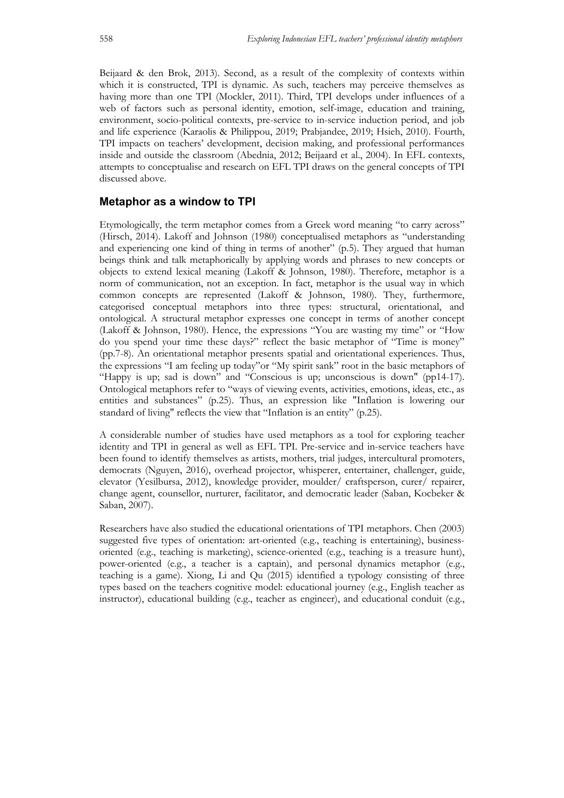Beijaard & den Brok, 2013). Second, as a result of the complexity of contexts within which it is constructed, TPI is dynamic. As such, teachers may perceive themselves as having more than one TPI (Mockler, 2011). Third, TPI develops under influences of a web of factors such as personal identity, emotion, self-image, education and training, environment, socio-political contexts, pre-service to in-service induction period, and job and life experience (Karaolis & Philippou, 2019; Prabjandee, 2019; Hsieh, 2010). Fourth, TPI impacts on teachers' development, decision making, and professional performances inside and outside the classroom (Abednia, 2012; Beijaard et al., 2004). In EFL contexts, attempts to conceptualise and research on EFL TPI draws on the general concepts of TPI discussed above.

## **Metaphor as a window to TPI**

Etymologically, the term metaphor comes from a Greek word meaning "to carry across" (Hirsch, 2014). Lakoff and Johnson (1980) conceptualised metaphors as "understanding and experiencing one kind of thing in terms of another" (p.5). They argued that human beings think and talk metaphorically by applying words and phrases to new concepts or objects to extend lexical meaning (Lakoff & Johnson, 1980). Therefore, metaphor is a norm of communication, not an exception. In fact, metaphor is the usual way in which common concepts are represented (Lakoff & Johnson, 1980). They, furthermore, categorised conceptual metaphors into three types: structural, orientational, and ontological. A structural metaphor expresses one concept in terms of another concept (Lakoff & Johnson, 1980). Hence, the expressions "You are wasting my time" or "How do you spend your time these days?" reflect the basic metaphor of "Time is money" (pp.7-8). An orientational metaphor presents spatial and orientational experiences. Thus, the expressions "I am feeling up today"or "My spirit sank" root in the basic metaphors of "Happy is up; sad is down" and "Conscious is up; unconscious is down" (pp14-17). Ontological metaphors refer to "ways of viewing events, activities, emotions, ideas, etc., as entities and substances" (p.25). Thus, an expression like "Inflation is lowering our standard of living" reflects the view that "Inflation is an entity" (p.25).

A considerable number of studies have used metaphors as a tool for exploring teacher identity and TPI in general as well as EFL TPI. Pre-service and in-service teachers have been found to identify themselves as artists, mothers, trial judges, intercultural promoters, democrats (Nguyen, 2016), overhead projector, whisperer, entertainer, challenger, guide, elevator (Yesilbursa, 2012), knowledge provider, moulder/ craftsperson, curer/ repairer, change agent, counsellor, nurturer, facilitator, and democratic leader (Saban, Kocbeker & Saban, 2007).

Researchers have also studied the educational orientations of TPI metaphors. Chen (2003) suggested five types of orientation: art-oriented (e.g., teaching is entertaining), businessoriented (e.g., teaching is marketing), science-oriented (e.g., teaching is a treasure hunt), power-oriented (e.g., a teacher is a captain), and personal dynamics metaphor (e.g., teaching is a game). Xiong, Li and Qu (2015) identified a typology consisting of three types based on the teachers cognitive model: educational journey (e.g., English teacher as instructor), educational building (e.g., teacher as engineer), and educational conduit (e.g.,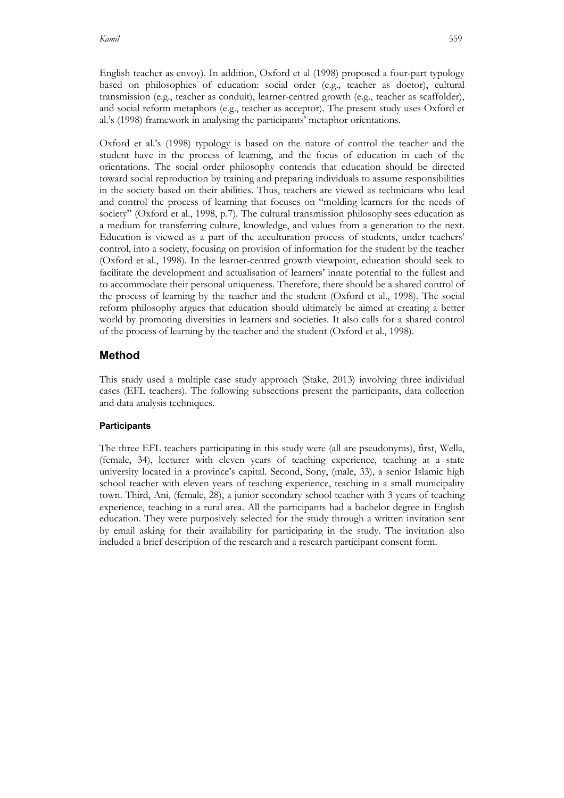English teacher as envoy). In addition, Oxford et al (1998) proposed a four-part typology based on philosophies of education: social order (e.g., teacher as doctor), cultural transmission (e.g., teacher as conduit), learner-centred growth (e.g., teacher as scaffolder), and social reform metaphors (e.g., teacher as acceptor). The present study uses Oxford et al.'s (1998) framework in analysing the participants' metaphor orientations.

Oxford et al.'s (1998) typology is based on the nature of control the teacher and the student have in the process of learning, and the focus of education in each of the orientations. The social order philosophy contends that education should be directed toward social reproduction by training and preparing individuals to assume responsibilities in the society based on their abilities. Thus, teachers are viewed as technicians who lead and control the process of learning that focuses on "molding learners for the needs of society" (Oxford et al., 1998, p.7). The cultural transmission philosophy sees education as a medium for transferring culture, knowledge, and values from a generation to the next. Education is viewed as a part of the acculturation process of students, under teachers' control, into a society, focusing on provision of information for the student by the teacher (Oxford et al., 1998). In the learner-centred growth viewpoint, education should seek to facilitate the development and actualisation of learners' innate potential to the fullest and to accommodate their personal uniqueness. Therefore, there should be a shared control of the process of learning by the teacher and the student (Oxford et al., 1998). The social reform philosophy argues that education should ultimately be aimed at creating a better world by promoting diversities in learners and societies. It also calls for a shared control of the process of learning by the teacher and the student (Oxford et al., 1998).

# **Method**

This study used a multiple case study approach (Stake, 2013) involving three individual cases (EFL teachers). The following subsections present the participants, data collection and data analysis techniques.

# **Participants**

The three EFL teachers participating in this study were (all are pseudonyms), first, Wella, (female, 34), lecturer with eleven years of teaching experience, teaching at a state university located in a province's capital. Second, Sony, (male, 33), a senior Islamic high school teacher with eleven years of teaching experience, teaching in a small municipality town. Third, Ani, (female, 28), a junior secondary school teacher with 3 years of teaching experience, teaching in a rural area. All the participants had a bachelor degree in English education. They were purposively selected for the study through a written invitation sent by email asking for their availability for participating in the study. The invitation also included a brief description of the research and a research participant consent form.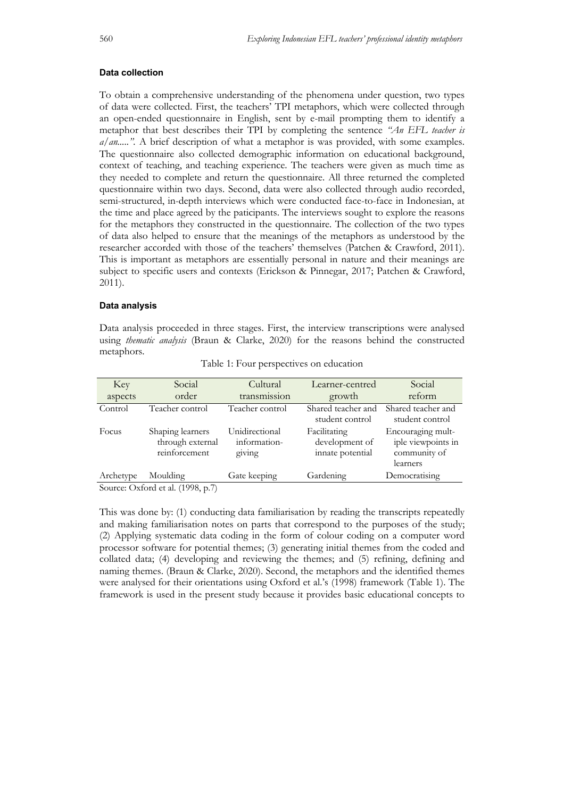#### **Data collection**

To obtain a comprehensive understanding of the phenomena under question, two types of data were collected. First, the teachers' TPI metaphors, which were collected through an open-ended questionnaire in English, sent by e-mail prompting them to identify a metaphor that best describes their TPI by completing the sentence *"An EFL teacher is a/an.....".* A brief description of what a metaphor is was provided, with some examples. The questionnaire also collected demographic information on educational background, context of teaching, and teaching experience. The teachers were given as much time as they needed to complete and return the questionnaire. All three returned the completed questionnaire within two days. Second, data were also collected through audio recorded, semi-structured, in-depth interviews which were conducted face-to-face in Indonesian, at the time and place agreed by the paticipants. The interviews sought to explore the reasons for the metaphors they constructed in the questionnaire. The collection of the two types of data also helped to ensure that the meanings of the metaphors as understood by the researcher accorded with those of the teachers' themselves (Patchen & Crawford, 2011). This is important as metaphors are essentially personal in nature and their meanings are subject to specific users and contexts (Erickson & Pinnegar, 2017; Patchen & Crawford, 2011).

### **Data analysis**

Data analysis proceeded in three stages. First, the interview transcriptions were analysed using *thematic analysis* (Braun & Clarke, 2020) for the reasons behind the constructed metaphors.

| Key       | Social                                                | Cultural                                 | Learner-centred                                    | Social                                                              |
|-----------|-------------------------------------------------------|------------------------------------------|----------------------------------------------------|---------------------------------------------------------------------|
| aspects   | order                                                 | transmission                             | growth                                             | reform                                                              |
| Control   | Teacher control                                       | Teacher control                          | Shared teacher and<br>student control              | Shared teacher and<br>student control                               |
| Focus     | Shaping learners<br>through external<br>reinforcement | Unidirectional<br>information-<br>giving | Facilitating<br>development of<br>innate potential | Encouraging mult-<br>iple viewpoints in<br>community of<br>learners |
| Archetype | Moulding                                              | Gate keeping                             | Gardening                                          | Democratising                                                       |

Table 1: Four perspectives on education

Source: Oxford et al. (1998, p.7)

This was done by: (1) conducting data familiarisation by reading the transcripts repeatedly and making familiarisation notes on parts that correspond to the purposes of the study; (2) Applying systematic data coding in the form of colour coding on a computer word processor software for potential themes; (3) generating initial themes from the coded and collated data; (4) developing and reviewing the themes; and (5) refining, defining and naming themes. (Braun & Clarke, 2020). Second, the metaphors and the identified themes were analysed for their orientations using Oxford et al.'s (1998) framework (Table 1). The framework is used in the present study because it provides basic educational concepts to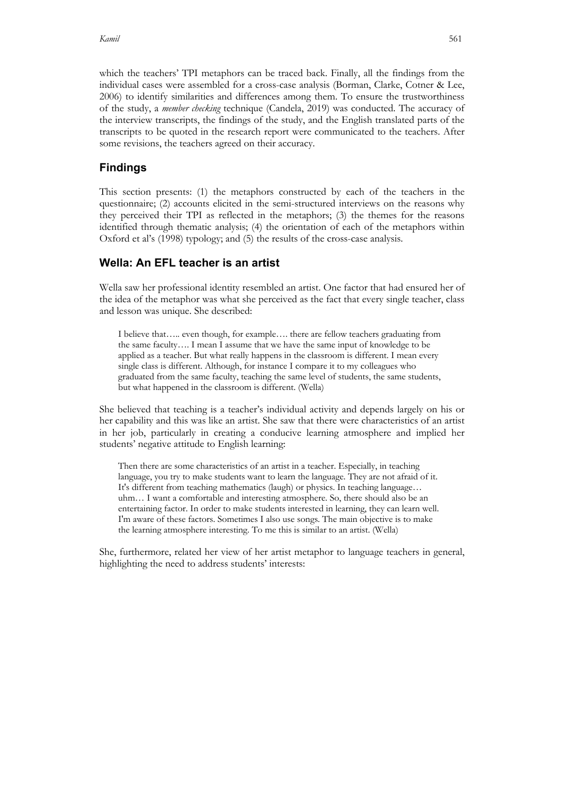which the teachers' TPI metaphors can be traced back. Finally, all the findings from the individual cases were assembled for a cross-case analysis (Borman, Clarke, Cotner & Lee, 2006) to identify similarities and differences among them. To ensure the trustworthiness of the study, a *member checking* technique (Candela, 2019) was conducted. The accuracy of the interview transcripts, the findings of the study, and the English translated parts of the transcripts to be quoted in the research report were communicated to the teachers. After some revisions, the teachers agreed on their accuracy.

# **Findings**

This section presents: (1) the metaphors constructed by each of the teachers in the questionnaire; (2) accounts elicited in the semi-structured interviews on the reasons why they perceived their TPI as reflected in the metaphors; (3) the themes for the reasons identified through thematic analysis; (4) the orientation of each of the metaphors within Oxford et al's (1998) typology; and (5) the results of the cross-case analysis.

## **Wella: An EFL teacher is an artist**

Wella saw her professional identity resembled an artist. One factor that had ensured her of the idea of the metaphor was what she perceived as the fact that every single teacher, class and lesson was unique. She described:

I believe that….. even though, for example…. there are fellow teachers graduating from the same faculty…. I mean I assume that we have the same input of knowledge to be applied as a teacher. But what really happens in the classroom is different. I mean every single class is different. Although, for instance I compare it to my colleagues who graduated from the same faculty, teaching the same level of students, the same students, but what happened in the classroom is different. (Wella)

She believed that teaching is a teacher's individual activity and depends largely on his or her capability and this was like an artist. She saw that there were characteristics of an artist in her job, particularly in creating a conducive learning atmosphere and implied her students' negative attitude to English learning:

Then there are some characteristics of an artist in a teacher. Especially, in teaching language, you try to make students want to learn the language. They are not afraid of it. It's different from teaching mathematics (laugh) or physics. In teaching language… uhm… I want a comfortable and interesting atmosphere. So, there should also be an entertaining factor. In order to make students interested in learning, they can learn well. I'm aware of these factors. Sometimes I also use songs. The main objective is to make the learning atmosphere interesting. To me this is similar to an artist. (Wella)

She, furthermore, related her view of her artist metaphor to language teachers in general, highlighting the need to address students' interests: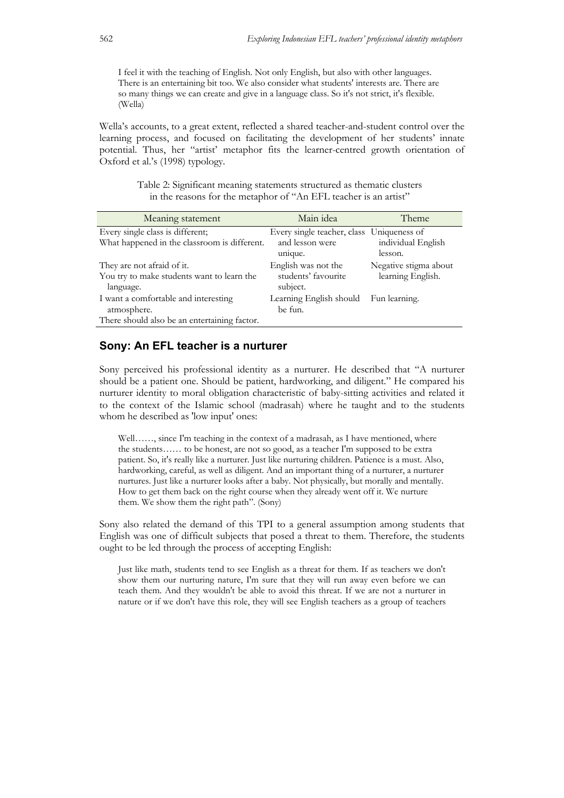I feel it with the teaching of English. Not only English, but also with other languages. There is an entertaining bit too. We also consider what students' interests are. There are so many things we can create and give in a language class. So it's not strict, it's flexible. (Wella)

Wella's accounts, to a great extent, reflected a shared teacher-and-student control over the learning process, and focused on facilitating the development of her students' innate potential. Thus, her "artist' metaphor fits the learner-centred growth orientation of Oxford et al.'s (1998) typology.

> Table 2: Significant meaning statements structured as thematic clusters in the reasons for the metaphor of "An EFL teacher is an artist"

| Meaning statement                                       | Main idea                                 | Theme                 |
|---------------------------------------------------------|-------------------------------------------|-----------------------|
| Every single class is different;                        | Every single teacher, class Uniqueness of |                       |
| What happened in the classroom is different.            | and lesson were                           | individual English    |
|                                                         | unique.                                   | lesson.               |
| They are not afraid of it.                              | English was not the                       | Negative stigma about |
| You try to make students want to learn the<br>language. | students' favourite<br>subject.           | learning English.     |
| I want a comfortable and interesting<br>atmosphere.     | Learning English should<br>be fun.        | Fun learning.         |
| There should also be an entertaining factor.            |                                           |                       |

### **Sony: An EFL teacher is a nurturer**

Sony perceived his professional identity as a nurturer. He described that "A nurturer should be a patient one. Should be patient, hardworking, and diligent." He compared his nurturer identity to moral obligation characteristic of baby-sitting activities and related it to the context of the Islamic school (madrasah) where he taught and to the students whom he described as 'low input' ones:

Well……, since I'm teaching in the context of a madrasah, as I have mentioned, where the students…… to be honest, are not so good, as a teacher I'm supposed to be extra patient. So, it's really like a nurturer. Just like nurturing children. Patience is a must. Also, hardworking, careful, as well as diligent. And an important thing of a nurturer, a nurturer nurtures. Just like a nurturer looks after a baby. Not physically, but morally and mentally. How to get them back on the right course when they already went off it. We nurture them. We show them the right path". (Sony)

Sony also related the demand of this TPI to a general assumption among students that English was one of difficult subjects that posed a threat to them. Therefore, the students ought to be led through the process of accepting English:

Just like math, students tend to see English as a threat for them. If as teachers we don't show them our nurturing nature, I'm sure that they will run away even before we can teach them. And they wouldn't be able to avoid this threat. If we are not a nurturer in nature or if we don't have this role, they will see English teachers as a group of teachers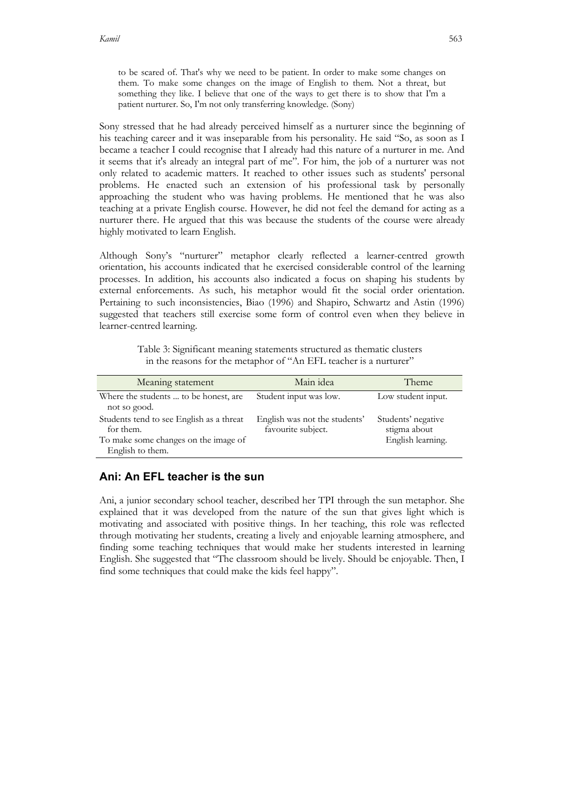to be scared of. That's why we need to be patient. In order to make some changes on them. To make some changes on the image of English to them. Not a threat, but something they like. I believe that one of the ways to get there is to show that I'm a patient nurturer. So, I'm not only transferring knowledge. (Sony)

Sony stressed that he had already perceived himself as a nurturer since the beginning of his teaching career and it was inseparable from his personality. He said "So, as soon as I became a teacher I could recognise that I already had this nature of a nurturer in me. And it seems that it's already an integral part of me". For him, the job of a nurturer was not only related to academic matters. It reached to other issues such as students' personal problems. He enacted such an extension of his professional task by personally approaching the student who was having problems. He mentioned that he was also teaching at a private English course. However, he did not feel the demand for acting as a nurturer there. He argued that this was because the students of the course were already highly motivated to learn English.

Although Sony's "nurturer" metaphor clearly reflected a learner-centred growth orientation, his accounts indicated that he exercised considerable control of the learning processes. In addition, his accounts also indicated a focus on shaping his students by external enforcements. As such, his metaphor would fit the social order orientation. Pertaining to such inconsistencies, Biao (1996) and Shapiro, Schwartz and Astin (1996) suggested that teachers still exercise some form of control even when they believe in learner-centred learning.

Table 3: Significant meaning statements structured as thematic clusters in the reasons for the metaphor of "An EFL teacher is a nurturer"

| Meaning statement                                                                                                 | Main idea                                           | Theme                                                   |
|-------------------------------------------------------------------------------------------------------------------|-----------------------------------------------------|---------------------------------------------------------|
| Where the students  to be honest, are<br>not so good.                                                             | Student input was low.                              | Low student input.                                      |
| Students tend to see English as a threat<br>for them.<br>To make some changes on the image of<br>English to them. | English was not the students'<br>favourite subject. | Students' negative<br>stigma about<br>English learning. |

# **Ani: An EFL teacher is the sun**

Ani, a junior secondary school teacher, described her TPI through the sun metaphor. She explained that it was developed from the nature of the sun that gives light which is motivating and associated with positive things. In her teaching, this role was reflected through motivating her students, creating a lively and enjoyable learning atmosphere, and finding some teaching techniques that would make her students interested in learning English. She suggested that "The classroom should be lively. Should be enjoyable. Then, I find some techniques that could make the kids feel happy".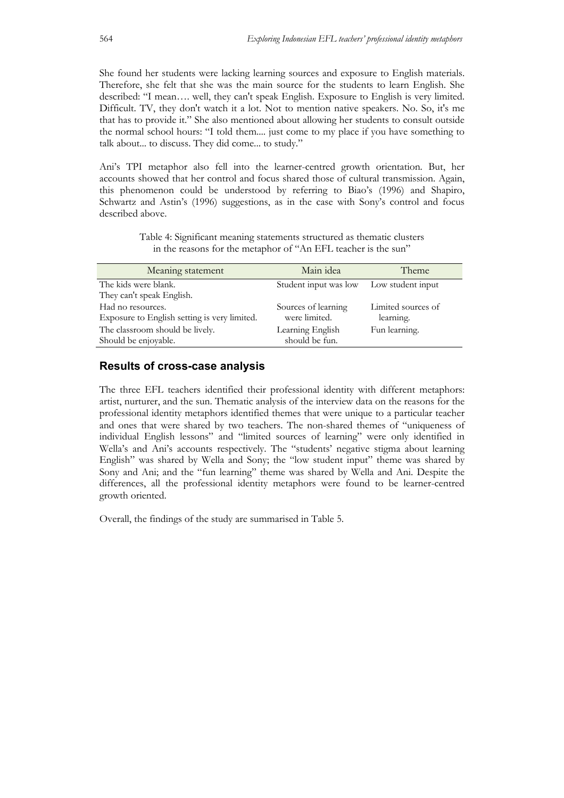She found her students were lacking learning sources and exposure to English materials. Therefore, she felt that she was the main source for the students to learn English. She described: "I mean…. well, they can't speak English. Exposure to English is very limited. Difficult. TV, they don't watch it a lot. Not to mention native speakers. No. So, it's me that has to provide it." She also mentioned about allowing her students to consult outside the normal school hours: "I told them.... just come to my place if you have something to talk about... to discuss. They did come... to study."

Ani's TPI metaphor also fell into the learner-centred growth orientation. But, her accounts showed that her control and focus shared those of cultural transmission. Again, this phenomenon could be understood by referring to Biao's (1996) and Shapiro, Schwartz and Astin's (1996) suggestions, as in the case with Sony's control and focus described above.

> Table 4: Significant meaning statements structured as thematic clusters in the reasons for the metaphor of "An EFL teacher is the sun"

| Meaning statement                            | Main idea                               | <b>Theme</b>       |
|----------------------------------------------|-----------------------------------------|--------------------|
| The kids were blank.                         | Student input was low Low student input |                    |
| They can't speak English.                    |                                         |                    |
| Had no resources.                            | Sources of learning                     | Limited sources of |
| Exposure to English setting is very limited. | were limited.                           | learning.          |
| The classroom should be lively.              | Learning English                        | Fun learning.      |
| Should be enjoyable.                         | should be fun.                          |                    |

### **Results of cross-case analysis**

The three EFL teachers identified their professional identity with different metaphors: artist, nurturer, and the sun. Thematic analysis of the interview data on the reasons for the professional identity metaphors identified themes that were unique to a particular teacher and ones that were shared by two teachers. The non-shared themes of "uniqueness of individual English lessons" and "limited sources of learning" were only identified in Wella's and Ani's accounts respectively. The "students' negative stigma about learning English" was shared by Wella and Sony; the "low student input" theme was shared by Sony and Ani; and the "fun learning" theme was shared by Wella and Ani. Despite the differences, all the professional identity metaphors were found to be learner-centred growth oriented.

Overall, the findings of the study are summarised in Table 5.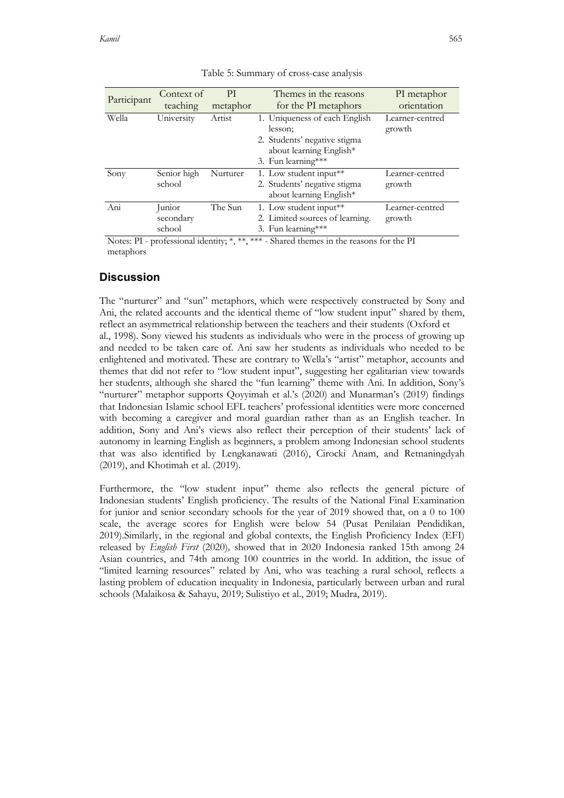| Participant | Context of<br>teaching | PI<br>metaphor | Themes in the reasons<br>for the PI metaphors | PI metaphor<br>orientation |
|-------------|------------------------|----------------|-----------------------------------------------|----------------------------|
|             |                        |                |                                               |                            |
| Wella       | University             | Artist         | 1. Uniqueness of each English                 | Learner-centred            |
|             |                        |                | lesson:                                       | growth                     |
|             |                        |                | 2. Students' negative stigma                  |                            |
|             |                        |                | about learning English*                       |                            |
|             |                        |                | 3. Fun learning ***                           |                            |
| Sony        | Senior high            | Nurturer       | 1. Low student input <sup>**</sup>            | Learner-centred            |
|             | school                 |                | 2. Students' negative stigma                  | growth                     |
|             |                        |                | about learning English*                       |                            |
| Ani         | Junior                 | The Sun        | 1. Low student input**                        | Learner-centred            |
|             | secondary              |                | 2. Limited sources of learning.               | growth                     |
|             | school                 |                | 3. Fun learning ***                           |                            |

| Table 5: Summary of cross-case analysis |  |  |  |  |  |  |
|-----------------------------------------|--|--|--|--|--|--|
|-----------------------------------------|--|--|--|--|--|--|

Notes: PI - professional identity; \*, \*\*, \*\*\* - Shared themes in the reasons for the PI metaphors

## **Discussion**

The "nurturer" and "sun" metaphors, which were respectively constructed by Sony and Ani, the related accounts and the identical theme of "low student input" shared by them, reflect an asymmetrical relationship between the teachers and their students (Oxford et al., 1998). Sony viewed his students as individuals who were in the process of growing up and needed to be taken care of. Ani saw her students as individuals who needed to be enlightened and motivated. These are contrary to Wella's "artist" metaphor, accounts and themes that did not refer to "low student input", suggesting her egalitarian view towards her students, although she shared the "fun learning" theme with Ani. In addition, Sony's "nurturer" metaphor supports Qoyyimah et al.'s (2020) and Munarman's (2019) findings that Indonesian Islamic school EFL teachers' professional identities were more concerned with becoming a caregiver and moral guardian rather than as an English teacher. In addition, Sony and Ani's views also reflect their perception of their students' lack of autonomy in learning English as beginners, a problem among Indonesian school students that was also identified by Lengkanawati (2016), Cirocki Anam, and Retnaningdyah (2019), and Khotimah et al. (2019).

Furthermore, the "low student input" theme also reflects the general picture of Indonesian students' English proficiency. The results of the National Final Examination for junior and senior secondary schools for the year of 2019 showed that, on a 0 to 100 scale, the average scores for English were below 54 (Pusat Penilaian Pendidikan, 2019).Similarly, in the regional and global contexts, the English Proficiency Index (EFI) released by *English First* (2020)*,* showed that in 2020 Indonesia ranked 15th among 24 Asian countries, and 74th among 100 countries in the world. In addition, the issue of "limited learning resources" related by Ani, who was teaching a rural school, reflects a lasting problem of education inequality in Indonesia, particularly between urban and rural schools (Malaikosa & Sahayu, 2019; Sulistiyo et al., 2019; Mudra, 2019).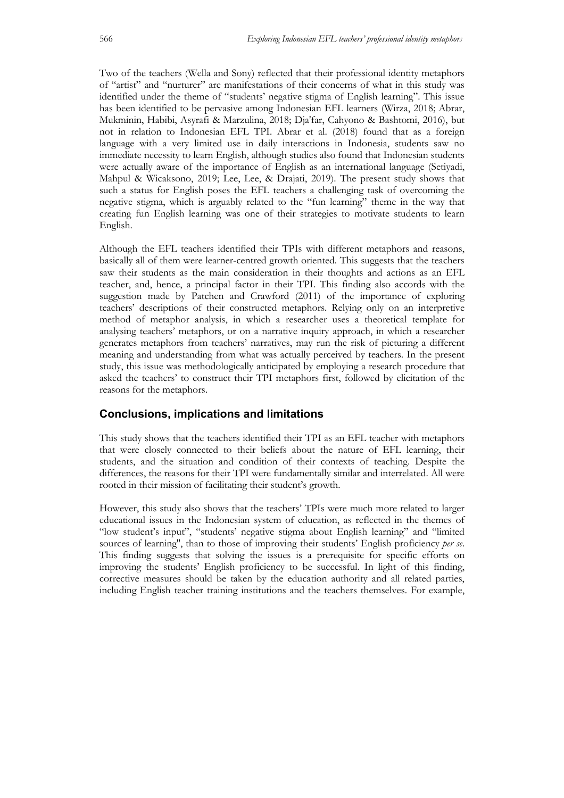Two of the teachers (Wella and Sony) reflected that their professional identity metaphors of "artist" and "nurturer" are manifestations of their concerns of what in this study was identified under the theme of "students' negative stigma of English learning". This issue has been identified to be pervasive among Indonesian EFL learners (Wirza, 2018; Abrar, Mukminin, Habibi, Asyrafi & Marzulina, 2018; Dja'far, Cahyono & Bashtomi, 2016), but not in relation to Indonesian EFL TPI. Abrar et al. (2018) found that as a foreign language with a very limited use in daily interactions in Indonesia, students saw no immediate necessity to learn English, although studies also found that Indonesian students were actually aware of the importance of English as an international language (Setiyadi, Mahpul & Wicaksono, 2019; Lee, Lee, & Drajati, 2019). The present study shows that such a status for English poses the EFL teachers a challenging task of overcoming the negative stigma, which is arguably related to the "fun learning" theme in the way that creating fun English learning was one of their strategies to motivate students to learn English.

Although the EFL teachers identified their TPIs with different metaphors and reasons, basically all of them were learner-centred growth oriented. This suggests that the teachers saw their students as the main consideration in their thoughts and actions as an EFL teacher, and, hence, a principal factor in their TPI. This finding also accords with the suggestion made by Patchen and Crawford (2011) of the importance of exploring teachers' descriptions of their constructed metaphors. Relying only on an interpretive method of metaphor analysis, in which a researcher uses a theoretical template for analysing teachers' metaphors, or on a narrative inquiry approach, in which a researcher generates metaphors from teachers' narratives, may run the risk of picturing a different meaning and understanding from what was actually perceived by teachers. In the present study, this issue was methodologically anticipated by employing a research procedure that asked the teachers' to construct their TPI metaphors first, followed by elicitation of the reasons for the metaphors.

### **Conclusions, implications and limitations**

This study shows that the teachers identified their TPI as an EFL teacher with metaphors that were closely connected to their beliefs about the nature of EFL learning, their students, and the situation and condition of their contexts of teaching. Despite the differences, the reasons for their TPI were fundamentally similar and interrelated. All were rooted in their mission of facilitating their student's growth.

However, this study also shows that the teachers' TPIs were much more related to larger educational issues in the Indonesian system of education, as reflected in the themes of "low student's input", "students' negative stigma about English learning" and "limited sources of learning'', than to those of improving their students' English proficiency *per se*. This finding suggests that solving the issues is a prerequisite for specific efforts on improving the students' English proficiency to be successful. In light of this finding, corrective measures should be taken by the education authority and all related parties, including English teacher training institutions and the teachers themselves. For example,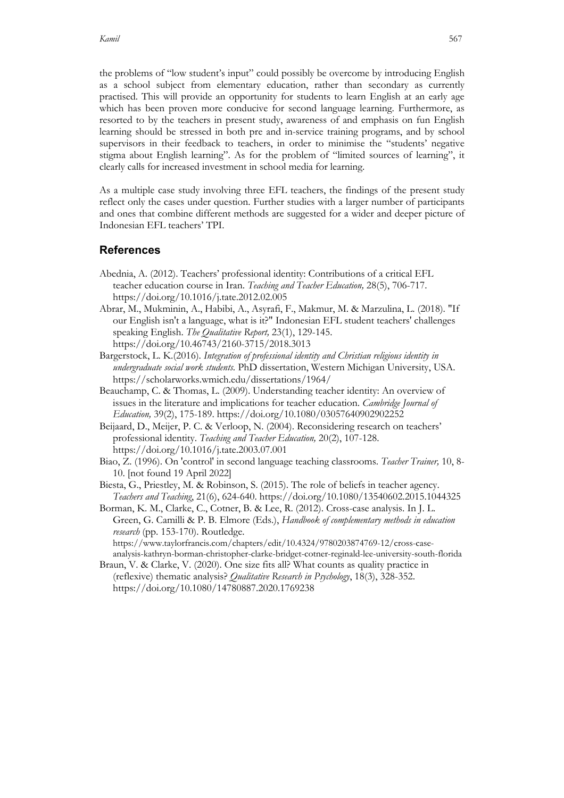the problems of "low student's input" could possibly be overcome by introducing English as a school subject from elementary education, rather than secondary as currently practised. This will provide an opportunity for students to learn English at an early age which has been proven more conducive for second language learning. Furthermore, as resorted to by the teachers in present study, awareness of and emphasis on fun English learning should be stressed in both pre and in-service training programs, and by school supervisors in their feedback to teachers, in order to minimise the "students' negative stigma about English learning". As for the problem of "limited sources of learning", it clearly calls for increased investment in school media for learning.

As a multiple case study involving three EFL teachers, the findings of the present study reflect only the cases under question. Further studies with a larger number of participants and ones that combine different methods are suggested for a wider and deeper picture of Indonesian EFL teachers' TPI.

## **References**

- Abednia, A. (2012). Teachers' professional identity: Contributions of a critical EFL teacher education course in Iran. *Teaching and Teacher Education,* 28(5), 706-717. https://doi.org/10.1016/j.tate.2012.02.005
- Abrar, M., Mukminin, A., Habibi, A., Asyrafi, F., Makmur, M. & Marzulina, L. (2018). "If our English isn't a language, what is it?" Indonesian EFL student teachers' challenges speaking English. *The Qualitative Report,* 23(1), 129-145. https://doi.org/10.46743/2160-3715/2018.3013
- Bargerstock, L. K.(2016). *Integration of professional identity and Christian religious identity in undergraduate social work students.* PhD dissertation, Western Michigan University, USA. https://scholarworks.wmich.edu/dissertations/1964/
- Beauchamp, C. & Thomas, L. (2009). Understanding teacher identity: An overview of issues in the literature and implications for teacher education. *Cambridge Journal of Education,* 39(2), 175-189. https://doi.org/10.1080/03057640902902252
- Beijaard, D., Meijer, P. C. & Verloop, N. (2004). Reconsidering research on teachers' professional identity. *Teaching and Teacher Education,* 20(2), 107-128. https://doi.org/10.1016/j.tate.2003.07.001
- Biao, Z. (1996). On 'control' in second language teaching classrooms. *Teacher Trainer,* 10, 8- 10. [not found 19 April 2022]
- Biesta, G., Priestley, M. & Robinson, S. (2015). The role of beliefs in teacher agency. *Teachers and Teaching*, 21(6), 624-640. https://doi.org/10.1080/13540602.2015.1044325
- Borman, K. M., Clarke, C., Cotner, B. & Lee, R. (2012). Cross-case analysis. In J. L. Green, G. Camilli & P. B. Elmore (Eds.), *Handbook of complementary methods in education research* (pp. 153-170). Routledge.

https://www.taylorfrancis.com/chapters/edit/10.4324/9780203874769-12/cross-caseanalysis-kathryn-borman-christopher-clarke-bridget-cotner-reginald-lee-university-south-florida

Braun, V. & Clarke, V. (2020). One size fits all? What counts as quality practice in (reflexive) thematic analysis? *Qualitative Research in Psychology*, 18(3), 328-352. https://doi.org/10.1080/14780887.2020.1769238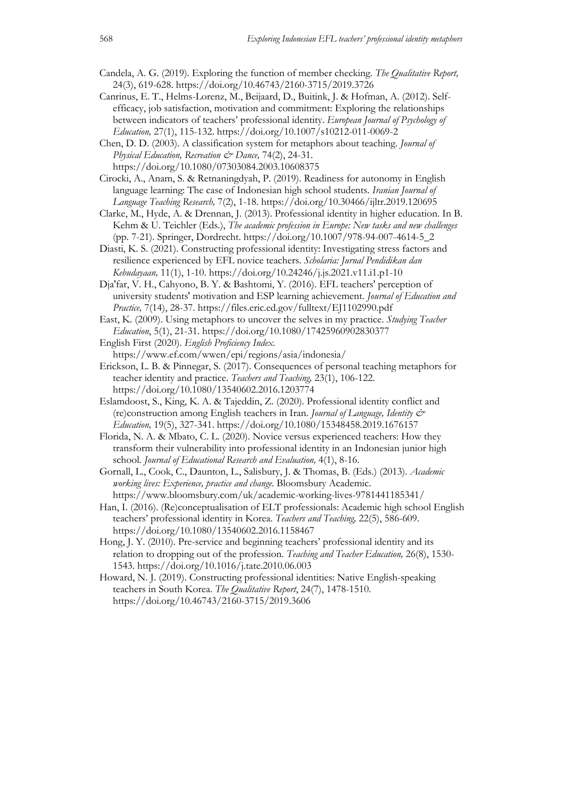- Candela, A. G. (2019). Exploring the function of member checking. *The Qualitative Report,*  24(3), 619-628. https://doi.org/10.46743/2160-3715/2019.3726
- Canrinus, E. T., Helms-Lorenz, M., Beijaard, D., Buitink, J. & Hofman, A. (2012). Selfefficacy, job satisfaction, motivation and commitment: Exploring the relationships between indicators of teachers' professional identity. *European Journal of Psychology of Education,* 27(1), 115-132. https://doi.org/10.1007/s10212-011-0069-2

Chen, D. D. (2003). A classification system for metaphors about teaching. *Journal of Physical Education, Recreation & Dance,* 74(2), 24-31. https://doi.org/10.1080/07303084.2003.10608375

Cirocki, A., Anam, S. & Retnaningdyah, P. (2019). Readiness for autonomy in English language learning: The case of Indonesian high school students*. Iranian Journal of Language Teaching Research,* 7(2), 1-18. https://doi.org/10.30466/ijltr.2019.120695

- Clarke, M., Hyde, A. & Drennan, J. (2013). Professional identity in higher education. In B. Kehm & U. Teichler (Eds.), *The academic profession in Europe: New tasks and new challenges* (pp. 7-21). Springer, Dordrecht. https://doi.org/10.1007/978-94-007-4614-5\_2
- Diasti, K. S. (2021). Constructing professional identity: Investigating stress factors and resilience experienced by EFL novice teachers. *Scholaria: Jurnal Pendidikan dan Kebudayaan,* 11(1), 1-10. https://doi.org/10.24246/j.js.2021.v11.i1.p1-10

Dja'far, V. H., Cahyono, B. Y. & Bashtomi, Y. (2016). EFL teachers' perception of university students' motivation and ESP learning achievement. *Journal of Education and Practice,* 7(14), 28-37. https://files.eric.ed.gov/fulltext/EJ1102990.pdf

East, K. (2009). Using metaphors to uncover the selves in my practice. *Studying Teacher Education*, 5(1), 21-31. https://doi.org/10.1080/17425960902830377

English First (2020). *English Proficiency Index.*

https://www.ef.com/wwen/epi/regions/asia/indonesia/

- Erickson, L. B. & Pinnegar, S. (2017). Consequences of personal teaching metaphors for teacher identity and practice. *Teachers and Teaching,* 23(1), 106-122. https://doi.org/10.1080/13540602.2016.1203774
- Eslamdoost, S., King, K. A. & Tajeddin, Z. (2020). Professional identity conflict and (re)construction among English teachers in Iran. *Journal of Language, Identity & Education,* 19(5), 327-341. https://doi.org/10.1080/15348458.2019.1676157

Florida, N. A. & Mbato, C. L. (2020). Novice versus experienced teachers: How they transform their vulnerability into professional identity in an Indonesian junior high school*. Journal of Educational Research and Evaluation,* 4(1), 8-16.

Gornall, L., Cook, C., Daunton, L., Salisbury, J. & Thomas, B. (Eds.) (2013). *Academic working lives: Experience, practice and change.* Bloomsbury Academic. https://www.bloomsbury.com/uk/academic-working-lives-9781441185341/

Han, I. (2016). (Re)conceptualisation of ELT professionals: Academic high school English teachers' professional identity in Korea. *Teachers and Teaching,* 22(5), 586-609. https://doi.org/10.1080/13540602.2016.1158467

Hong, J. Y. (2010). Pre-service and beginning teachers' professional identity and its relation to dropping out of the profession. *Teaching and Teacher Education,* 26(8), 1530- 1543. https://doi.org/10.1016/j.tate.2010.06.003

Howard, N. J. (2019). Constructing professional identities: Native English-speaking teachers in South Korea. *The Qualitative Report*, 24(7), 1478-1510. https://doi.org/10.46743/2160-3715/2019.3606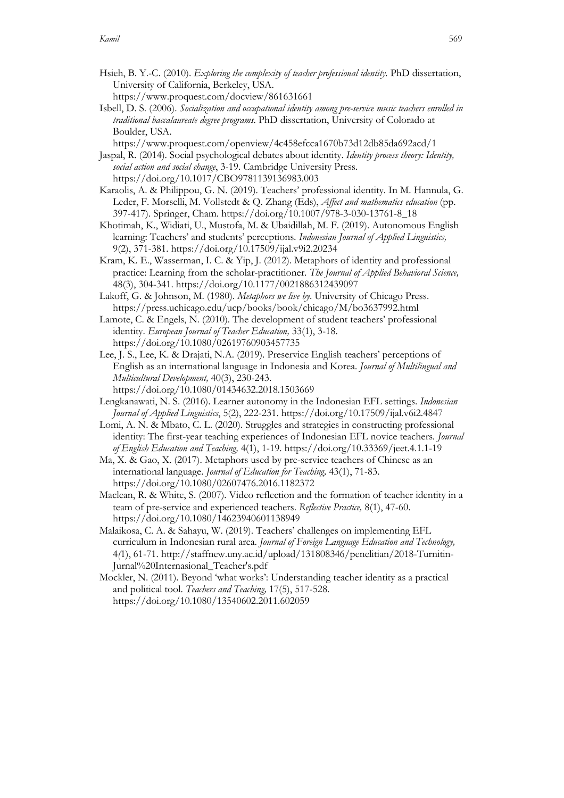- Hsieh, B. Y.-C. (2010). *Exploring the complexity of teacher professional identity.* PhD dissertation, University of California, Berkeley, USA.
- https://www.proquest.com/docview/861631661 Isbell, D. S. (2006). *Socialization and occupational identity among pre-service music teachers enrolled in*
- *traditional baccalaureate degree programs.* PhD dissertation, University of Colorado at Boulder, USA.

https://www.proquest.com/openview/4c458efcca1670b73d12db85da692acd/1

- Jaspal, R. (2014). Social psychological debates about identity. *Identity process theory: Identity, social action and social change*, 3-19. Cambridge University Press. https://doi.org/10.1017/CBO9781139136983.003
- Karaolis, A. & Philippou, G. N. (2019). Teachers' professional identity. In M. Hannula, G. Leder, F. Morselli, M. Vollstedt & Q. Zhang (Eds), *Affect and mathematics education* (pp. 397-417). Springer, Cham. https://doi.org/10.1007/978-3-030-13761-8\_18
- Khotimah, K., Widiati, U., Mustofa, M. & Ubaidillah, M. F. (2019). Autonomous English learning: Teachers' and students' perceptions*. Indonesian Journal of Applied Linguistics,*  9(2), 371-381. https://doi.org/10.17509/ijal.v9i2.20234
- Kram, K. E., Wasserman, I. C. & Yip, J. (2012). Metaphors of identity and professional practice: Learning from the scholar-practitioner*. The Journal of Applied Behavioral Science,*  48(3), 304-341. https://doi.org/10.1177/0021886312439097
- Lakoff, G. & Johnson, M. (1980). *Metaphors we live by*. University of Chicago Press. https://press.uchicago.edu/ucp/books/book/chicago/M/bo3637992.html
- Lamote, C. & Engels, N. (2010). The development of student teachers' professional identity. *European Journal of Teacher Education,* 33(1), 3-18. https://doi.org/10.1080/02619760903457735
- Lee, J. S., Lee, K. & Drajati, N.A. (2019). Preservice English teachers' perceptions of English as an international language in Indonesia and Korea*. Journal of Multilingual and Multicultural Development,* 40(3), 230-243. https://doi.org/10.1080/01434632.2018.1503669
- Lengkanawati, N. S. (2016). Learner autonomy in the Indonesian EFL settings. *Indonesian Journal of Applied Linguistics*, 5(2), 222-231. https://doi.org/10.17509/ijal.v6i2.4847
- Lomi, A. N. & Mbato, C. L. (2020). Struggles and strategies in constructing professional identity: The first-year teaching experiences of Indonesian EFL novice teachers*. Journal of English Education and Teaching,* 4(1), 1-19. https://doi.org/10.33369/jeet.4.1.1-19
- Ma, X. & Gao, X. (2017). Metaphors used by pre-service teachers of Chinese as an international language. *Journal of Education for Teaching,* 43(1), 71-83. https://doi.org/10.1080/02607476.2016.1182372
- Maclean, R. & White, S. (2007). Video reflection and the formation of teacher identity in a team of pre-service and experienced teachers. *Reflective Practice,* 8(1), 47-60. https://doi.org/10.1080/14623940601138949
- Malaikosa, C. A. & Sahayu, W. (2019). Teachers' challenges on implementing EFL curriculum in Indonesian rural area. *Journal of Foreign Language Education and Technology,*  4*(*1), 61-71. http://staffnew.uny.ac.id/upload/131808346/penelitian/2018-Turnitin-Jurnal%20Internasional\_Teacher's.pdf
- Mockler, N. (2011). Beyond 'what works': Understanding teacher identity as a practical and political tool. *Teachers and Teaching,* 17(5), 517-528. https://doi.org/10.1080/13540602.2011.602059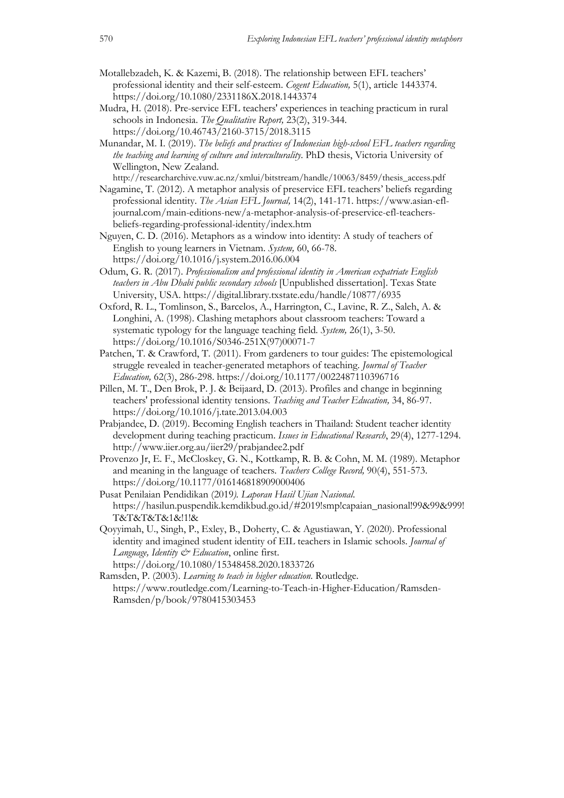- Motallebzadeh, K. & Kazemi, B. (2018). The relationship between EFL teachers' professional identity and their self-esteem. *Cogent Education,* 5(1), article 1443374. https://doi.org/10.1080/2331186X.2018.1443374
- Mudra, H. (2018). Pre-service EFL teachers' experiences in teaching practicum in rural schools in Indonesia. *The Qualitative Report,* 23(2), 319-344. https://doi.org/10.46743/2160-3715/2018.3115
- Munandar, M. I. (2019). *The beliefs and practices of Indonesian high-school EFL teachers regarding the teaching and learning of culture and interculturality*. PhD thesis, Victoria University of Wellington, New Zealand.

http://researcharchive.vuw.ac.nz/xmlui/bitstream/handle/10063/8459/thesis\_access.pdf Nagamine, T. (2012). A metaphor analysis of preservice EFL teachers' beliefs regarding professional identity. *The Asian EFL Journal,* 14(2), 141-171. https://www.asian-efljournal.com/main-editions-new/a-metaphor-analysis-of-preservice-efl-teachers-

- beliefs-regarding-professional-identity/index.htm Nguyen, C. D. (2016). Metaphors as a window into identity: A study of teachers of English to young learners in Vietnam. *System,* 60, 66-78. https://doi.org/10.1016/j.system.2016.06.004
- Odum, G. R. (2017). *Professionalism and professional identity in American expatriate English teachers in Abu Dhabi public secondary schools* [Unpublished dissertation]. Texas State University, USA. https://digital.library.txstate.edu/handle/10877/6935
- Oxford, R. L., Tomlinson, S., Barcelos, A., Harrington, C., Lavine, R. Z., Saleh, A. & Longhini, A. (1998). Clashing metaphors about classroom teachers: Toward a systematic typology for the language teaching field*. System,* 26(1), 3-50. https://doi.org/10.1016/S0346-251X(97)00071-7
- Patchen, T. & Crawford, T. (2011). From gardeners to tour guides: The epistemological struggle revealed in teacher-generated metaphors of teaching. *Journal of Teacher Education,* 62(3), 286-298. https://doi.org/10.1177/0022487110396716
- Pillen, M. T., Den Brok, P. J. & Beijaard, D. (2013). Profiles and change in beginning teachers' professional identity tensions. *Teaching and Teacher Education,* 34, 86-97. https://doi.org/10.1016/j.tate.2013.04.003
- Prabjandee, D. (2019). Becoming English teachers in Thailand: Student teacher identity development during teaching practicum. *Issues in Educational Research*, 29(4), 1277-1294. http://www.iier.org.au/iier29/prabjandee2.pdf
- Provenzo Jr, E. F., McCloskey, G. N., Kottkamp, R. B. & Cohn, M. M. (1989). Metaphor and meaning in the language of teachers*. Teachers College Record,* 90(4), 551-573. https://doi.org/10.1177/016146818909000406
- Pusat Penilaian Pendidikan (2019*). Laporan Hasil Ujian Nasional*. https://hasilun.puspendik.kemdikbud.go.id/#2019!smp!capaian\_nasional!99&99&999! T&T&T&T&1&!1!&
- Qoyyimah, U., Singh, P., Exley, B., Doherty, C. & Agustiawan, Y. (2020). Professional identity and imagined student identity of EIL teachers in Islamic schools. *Journal of Language, Identity & Education*, online first. https://doi.org/10.1080/15348458.2020.1833726
- Ramsden, P. (2003). *Learning to teach in higher education*. Routledge. https://www.routledge.com/Learning-to-Teach-in-Higher-Education/Ramsden-Ramsden/p/book/9780415303453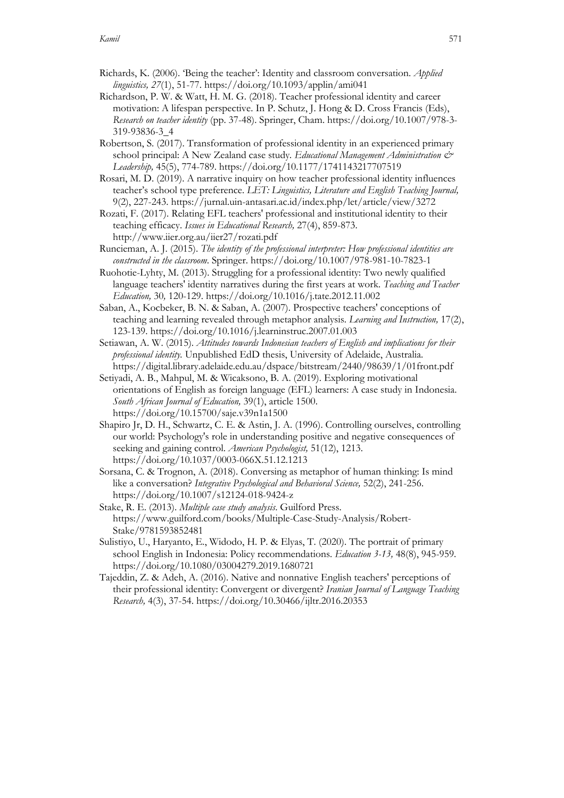- Richards, K. (2006). 'Being the teacher': Identity and classroom conversation. *Applied linguistics, 27*(1), 51-77. https://doi.org/10.1093/applin/ami041
- Richardson, P. W. & Watt, H. M. G. (2018). Teacher professional identity and career motivation: A lifespan perspective. In P. Schutz, J. Hong & D. Cross Francis (Eds), *Research on teacher identity* (pp. 37-48). Springer, Cham. https://doi.org/10.1007/978-3- 319-93836-3\_4
- Robertson, S. (2017). Transformation of professional identity in an experienced primary school principal: A New Zealand case study*. Educational Management Administration & Leadership,* 45(5), 774-789. https://doi.org/10.1177/1741143217707519
- Rosari, M. D. (2019). A narrative inquiry on how teacher professional identity influences teacher's school type preference. *LET: Linguistics, Literature and English Teaching Journal,* 9(2), 227-243. https://jurnal.uin-antasari.ac.id/index.php/let/article/view/3272
- Rozati, F. (2017). Relating EFL teachers' professional and institutional identity to their teaching efficacy. *Issues in Educational Research,* 27(4), 859-873. http://www.iier.org.au/iier27/rozati.pdf
- Runcieman, A. J. (2015). *The identity of the professional interpreter: How professional identities are constructed in the classroom*. Springer. https://doi.org/10.1007/978-981-10-7823-1
- Ruohotie-Lyhty, M. (2013). Struggling for a professional identity: Two newly qualified language teachers' identity narratives during the first years at work. *Teaching and Teacher Education,* 30*,* 120-129. https://doi.org/10.1016/j.tate.2012.11.002
- Saban, A., Kocbeker, B. N. & Saban, A. (2007). Prospective teachers' conceptions of teaching and learning revealed through metaphor analysis. *Learning and Instruction,* 17(2), 123-139. https://doi.org/10.1016/j.learninstruc.2007.01.003
- Setiawan, A. W. (2015). *Attitudes towards Indonesian teachers of English and implications for their professional identity.* Unpublished EdD thesis, University of Adelaide, Australia. https://digital.library.adelaide.edu.au/dspace/bitstream/2440/98639/1/01front.pdf
- Setiyadi, A. B., Mahpul, M. & Wicaksono, B. A. (2019). Exploring motivational orientations of English as foreign language (EFL) learners: A case study in Indonesia. *South African Journal of Education,* 39(1), article 1500. https://doi.org/10.15700/saje.v39n1a1500
- Shapiro Jr, D. H., Schwartz, C. E. & Astin, J. A. (1996). Controlling ourselves, controlling our world: Psychology's role in understanding positive and negative consequences of seeking and gaining control. *American Psychologist,* 51(12), 1213. https://doi.org/10.1037/0003-066X.51.12.1213
- Sorsana, C. & Trognon, A. (2018). Conversing as metaphor of human thinking: Is mind like a conversation? *Integrative Psychological and Behavioral Science*, 52(2), 241-256. https://doi.org/10.1007/s12124-018-9424-z
- Stake, R. E. (2013). *Multiple case study analysis*. Guilford Press. https://www.guilford.com/books/Multiple-Case-Study-Analysis/Robert-Stake/9781593852481
- Sulistiyo, U., Haryanto, E., Widodo, H. P. & Elyas, T. (2020). The portrait of primary school English in Indonesia: Policy recommendations. *Education 3-13,* 48(8), 945-959. https://doi.org/10.1080/03004279.2019.1680721
- Tajeddin, Z. & Adeh, A. (2016). Native and nonnative English teachers' perceptions of their professional identity: Convergent or divergent? *Iranian Journal of Language Teaching Research,* 4(3), 37-54. https://doi.org/10.30466/ijltr.2016.20353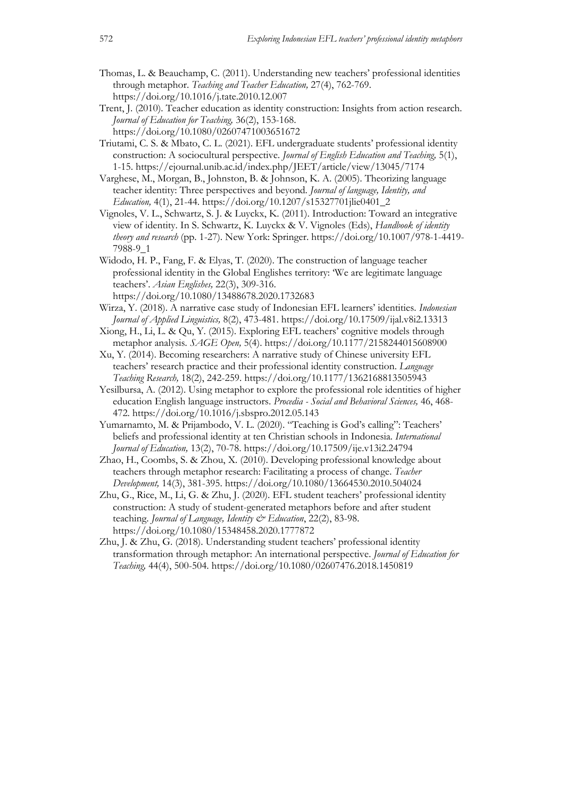- Thomas, L. & Beauchamp, C. (2011). Understanding new teachers' professional identities through metaphor. *Teaching and Teacher Education,* 27(4), 762-769. https://doi.org/10.1016/j.tate.2010.12.007
- Trent, J. (2010). Teacher education as identity construction: Insights from action research. *Journal of Education for Teaching,* 36(2), 153-168. https://doi.org/10.1080/02607471003651672
- Triutami, C. S. & Mbato, C. L. (2021). EFL undergraduate students' professional identity construction: A sociocultural perspective. *Journal of English Education and Teaching,* 5(1), 1-15. https://ejournal.unib.ac.id/index.php/JEET/article/view/13045/7174
- Varghese, M., Morgan, B., Johnston, B. & Johnson, K. A. (2005). Theorizing language teacher identity: Three perspectives and beyond*. Journal of language, Identity, and Education,* 4(1), 21-44. https://doi.org/10.1207/s15327701jlie0401\_2
- Vignoles, V. L., Schwartz, S. J. & Luyckx, K. (2011). Introduction: Toward an integrative view of identity. In S. Schwartz, K. Luyckx & V. Vignoles (Eds), *Handbook of identity theory and research* (pp. 1-27). New York: Springer. https://doi.org/10.1007/978-1-4419- 7988-9\_1
- Widodo, H. P., Fang, F. & Elyas, T. (2020). The construction of language teacher professional identity in the Global Englishes territory: 'We are legitimate language teachers'. *Asian Englishes,* 22(3), 309-316.
- https://doi.org/10.1080/13488678.2020.1732683
- Wirza, Y. (2018). A narrative case study of Indonesian EFL learners' identities. *Indonesian Journal of Applied Linguistics,* 8(2), 473-481. https://doi.org/10.17509/ijal.v8i2.13313
- Xiong, H., Li, L. & Qu, Y. (2015). Exploring EFL teachers' cognitive models through metaphor analysis*. SAGE Open,* 5(4). https://doi.org/10.1177/2158244015608900
- Xu, Y. (2014). Becoming researchers: A narrative study of Chinese university EFL teachers' research practice and their professional identity construction. *Language Teaching Research,* 18(2), 242-259. https://doi.org/10.1177/1362168813505943
- Yesilbursa, A. (2012). Using metaphor to explore the professional role identities of higher education English language instructors. *Procedia - Social and Behavioral Sciences,* 46, 468- 472. https://doi.org/10.1016/j.sbspro.2012.05.143
- Yumarnamto, M. & Prijambodo, V. L. (2020). "Teaching is God's calling": Teachers' beliefs and professional identity at ten Christian schools in Indonesia*. International Journal of Education,* 13(2), 70-78. https://doi.org/10.17509/ije.v13i2.24794
- Zhao, H., Coombs, S. & Zhou, X. (2010). Developing professional knowledge about teachers through metaphor research: Facilitating a process of change. *Teacher Development,* 14(3), 381-395. https://doi.org/10.1080/13664530.2010.504024
- Zhu, G., Rice, M., Li, G. & Zhu, J. (2020). EFL student teachers' professional identity construction: A study of student-generated metaphors before and after student teaching. *Journal of Language, Identity & Education*, 22(2), 83-98. https://doi.org/10.1080/15348458.2020.1777872
- Zhu, J. & Zhu, G. (2018). Understanding student teachers' professional identity transformation through metaphor: An international perspective. *Journal of Education for Teaching,* 44(4), 500-504. https://doi.org/10.1080/02607476.2018.1450819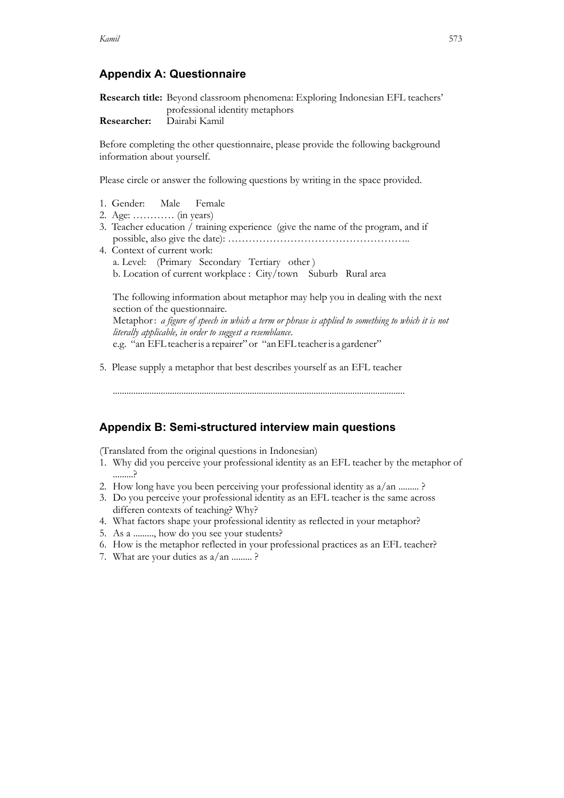# **Appendix A: Questionnaire**

|                                  | Research title: Beyond classroom phenomena: Exploring Indonesian EFL teachers' |
|----------------------------------|--------------------------------------------------------------------------------|
|                                  | professional identity metaphors                                                |
| <b>Researcher:</b> Dairabi Kamil |                                                                                |

Before completing the other questionnaire, please provide the following background information about yourself.

Please circle or answer the following questions by writing in the space provided.

| 1. Gender: Male Female                                                                                                                                                                                                                                                                                                                                    |
|-----------------------------------------------------------------------------------------------------------------------------------------------------------------------------------------------------------------------------------------------------------------------------------------------------------------------------------------------------------|
| 2. Age: $\dots\dots\dots\dots$ (in years)                                                                                                                                                                                                                                                                                                                 |
| 3. Teacher education / training experience (give the name of the program, and if                                                                                                                                                                                                                                                                          |
|                                                                                                                                                                                                                                                                                                                                                           |
| 4. Context of current work:                                                                                                                                                                                                                                                                                                                               |
| a. Level: (Primary Secondary Tertiary other)                                                                                                                                                                                                                                                                                                              |
| b. Location of current workplace : City/town Suburb Rural area                                                                                                                                                                                                                                                                                            |
| The following information about metaphor may help you in dealing with the next<br>section of the questionnaire.<br>Metaphor: a figure of speech in which a term or phrase is applied to something to which it is not<br>literally applicable, in order to suggest a resemblance.<br>e.g. "an EFL teacher is a repairer" or "an EFL teacher is a gardener" |

5. Please supply a metaphor that best describes yourself as an EFL teacher

# **Appendix B: Semi-structured interview main questions**

(Translated from the original questions in Indonesian)

- 1. Why did you perceive your professional identity as an EFL teacher by the metaphor of .........?
- 2. How long have you been perceiving your professional identity as a/an ......... ?
- 3. Do you perceive your professional identity as an EFL teacher is the same across differen contexts of teaching? Why?
- 4. What factors shape your professional identity as reflected in your metaphor?
- 5. As a ........., how do you see your students?
- 6. How is the metaphor reflected in your professional practices as an EFL teacher?
- 7. What are your duties as a/an ......... ?